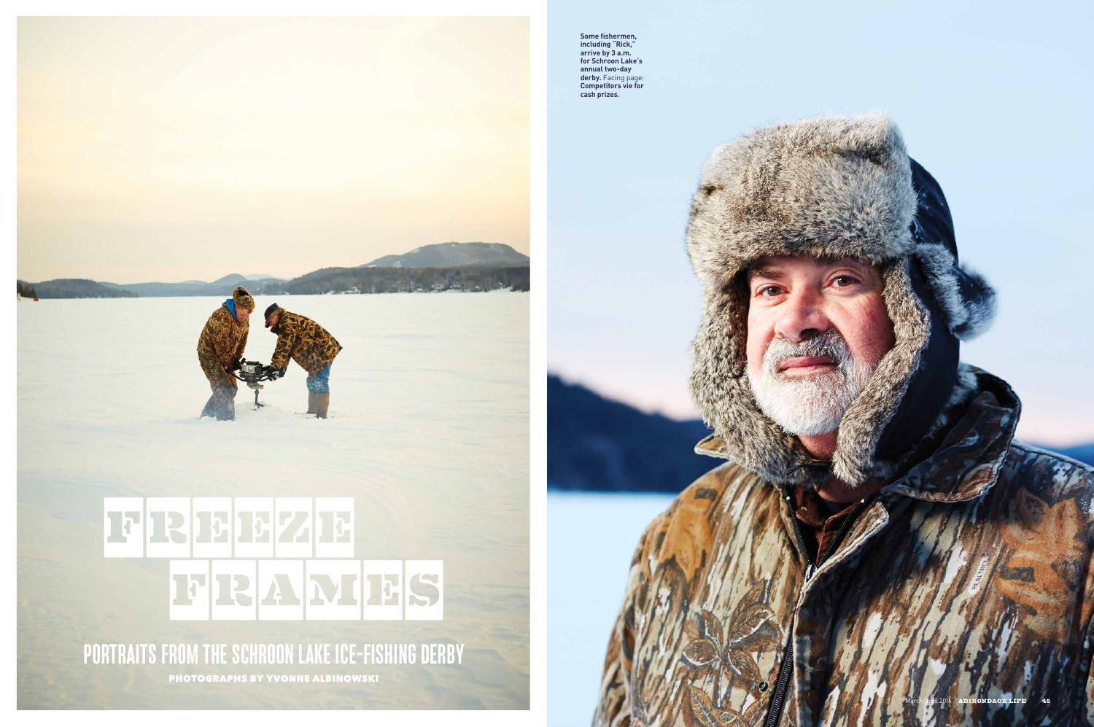## FRAMES FFFREEZE

**PORTRAITS FROM THE SCHROON LAKE ICE-FISHING DERBY** PHOTOGRAPHS BY YVONNE ALBINOWSKI

44 ADIRONDACK LIFE March/April 2016 March/April 2016 ADIRONDACK LIFE 45 **ADIRONDACK LIFE** 



**Some fishermen, including "Rick," arrive by 3 a.m. for Schroon Lake's annual two-day derby.** Facing page: **Competitors vie for cash prizes.**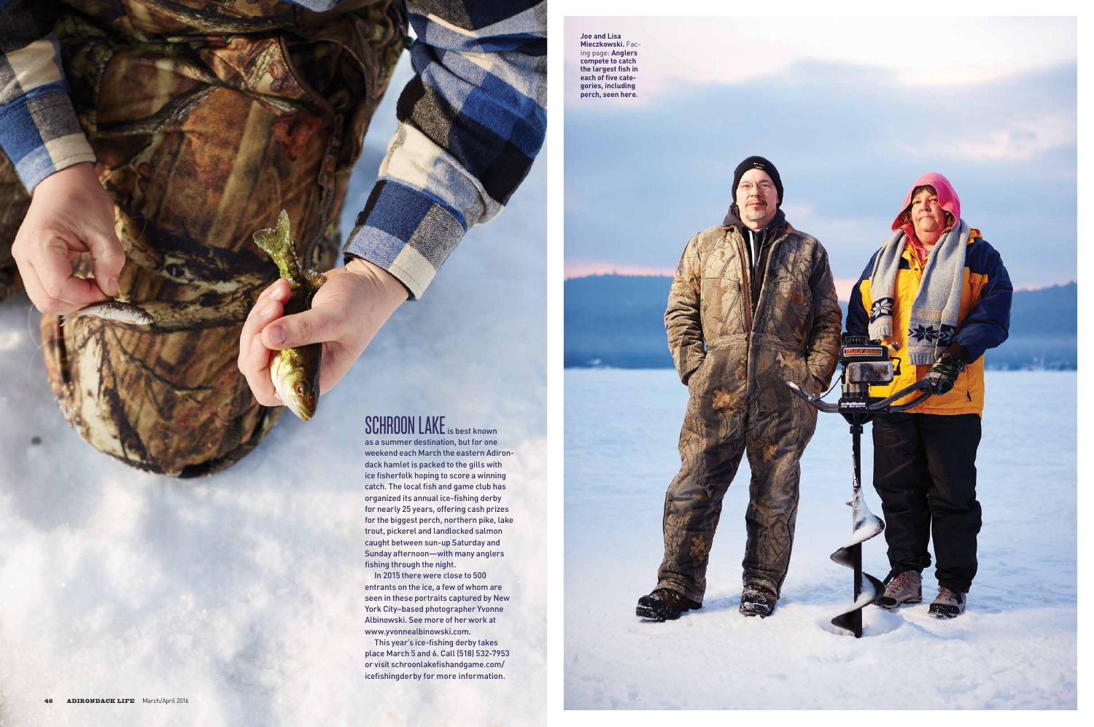as a summer destination, but for one weekend each March the eastern Adirondack hamlet is packed to the gills with ice fisherfolk hoping to score a winning catch. The local fish and game club has organized its annual ice-fishing derby for nearly 25 years, offering cash prizes for the biggest perch, northern pike, lake trout, pickerel and landlocked salmon caught between sun-up Saturday and Sunday afternoon—with many anglers fishing through the night.



In 2015 there were close to 500 entrants on the ice, a few of whom are seen in these portraits captured by New York City–based photographer Yvonne Albinowski. See more of her work at www.yvonnealbinowski.com.

This year's ice-fishing derby takes place March 5 and 6. Call (518) 532-7953 or visit schroonlakefishandgame.com/ icefishingderby for more information.

**Joe and Lisa Mieczkowski.** Facing page: **Anglers compete to catch the largest fish in each of five categories, including perch, seen here.**

## SCHROON LAKE is best known